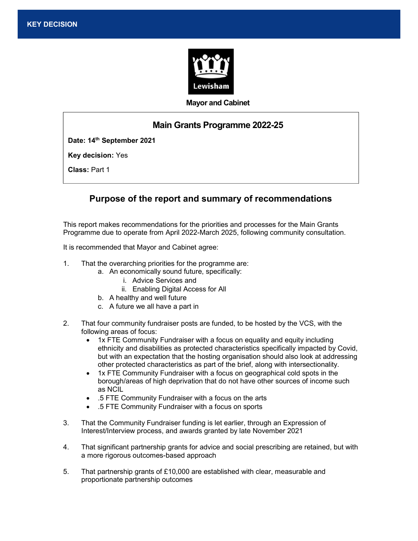

#### Mayor and Cabinet

# Main Grants Programme 2022-25

Date: 14<sup>th</sup> September 2021

Key decision: Yes

Ward(s) affected: All and the Second Construction and the Second Construction and the Second Construction and

Class: Part 1

# Purpose of the report and summary of recommendations

This report makes recommendations for the priorities and processes for the Main Grants Programme due to operate from April 2022-March 2025, following community consultation.

It is recommended that Mayor and Cabinet agree:

- 1. That the overarching priorities for the programme are:
	- a. An economically sound future, specifically:
		- i. Advice Services and
		- ii. Enabling Digital Access for All
	- b. A healthy and well future
	- c. A future we all have a part in
- 2. That four community fundraiser posts are funded, to be hosted by the VCS, with the following areas of focus:
	- 1x FTE Community Fundraiser with a focus on equality and equity including ethnicity and disabilities as protected characteristics specifically impacted by Covid, but with an expectation that the hosting organisation should also look at addressing other protected characteristics as part of the brief, along with intersectionality.
	- 1x FTE Community Fundraiser with a focus on geographical cold spots in the borough/areas of high deprivation that do not have other sources of income such as NCIL
	- .5 FTE Community Fundraiser with a focus on the arts
	- .5 FTE Community Fundraiser with a focus on sports
- 3. That the Community Fundraiser funding is let earlier, through an Expression of Interest/Interview process, and awards granted by late November 2021
- 4. That significant partnership grants for advice and social prescribing are retained, but with a more rigorous outcomes-based approach
- 5. That partnership grants of £10,000 are established with clear, measurable and proportionate partnership outcomes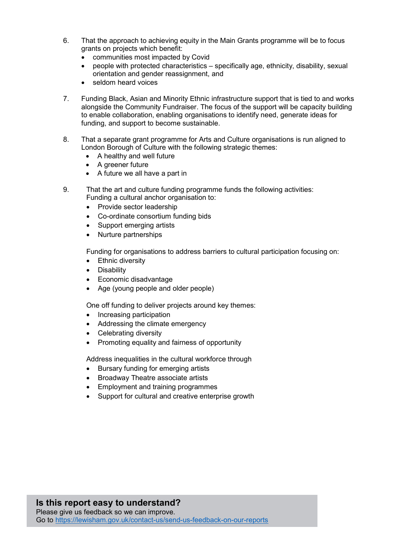- 6. That the approach to achieving equity in the Main Grants programme will be to focus grants on projects which benefit:
	- communities most impacted by Covid
	- people with protected characteristics specifically age, ethnicity, disability, sexual orientation and gender reassignment, and
	- seldom heard voices
- 7. Funding Black, Asian and Minority Ethnic infrastructure support that is tied to and works alongside the Community Fundraiser. The focus of the support will be capacity building to enable collaboration, enabling organisations to identify need, generate ideas for funding, and support to become sustainable.
- 8. That a separate grant programme for Arts and Culture organisations is run aligned to London Borough of Culture with the following strategic themes:
	- A healthy and well future
	- A greener future
	- A future we all have a part in
- 9. That the art and culture funding programme funds the following activities: Funding a cultural anchor organisation to:
	- Provide sector leadership
	- Co-ordinate consortium funding bids
	- Support emerging artists
	- Nurture partnerships

Funding for organisations to address barriers to cultural participation focusing on:

- Ethnic diversity
- Disability
- Economic disadvantage
- Age (young people and older people)

One off funding to deliver projects around key themes:

- Increasing participation
- Addressing the climate emergency
- Celebrating diversity
- Promoting equality and fairness of opportunity

Address inequalities in the cultural workforce through

- Bursary funding for emerging artists
- Broadway Theatre associate artists
- Employment and training programmes
- Support for cultural and creative enterprise growth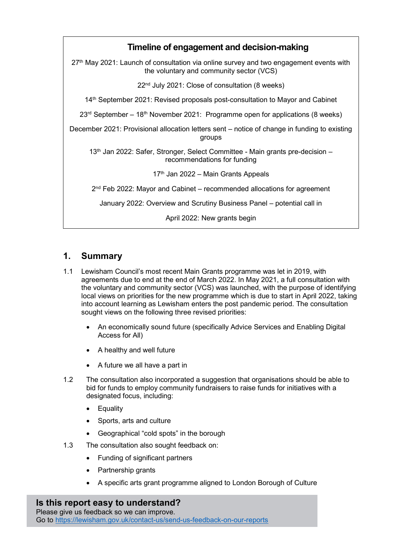

# 1. Summary

- 1.1 Lewisham Council's most recent Main Grants programme was let in 2019, with agreements due to end at the end of March 2022. In May 2021, a full consultation with the voluntary and community sector (VCS) was launched, with the purpose of identifying local views on priorities for the new programme which is due to start in April 2022, taking into account learning as Lewisham enters the post pandemic period. The consultation sought views on the following three revised priorities:
	- An economically sound future (specifically Advice Services and Enabling Digital Access for All)
	- A healthy and well future
	- A future we all have a part in
- 1.2 The consultation also incorporated a suggestion that organisations should be able to bid for funds to employ community fundraisers to raise funds for initiatives with a designated focus, including:
	- Equality
	- Sports, arts and culture
	- Geographical "cold spots" in the borough
- 1.3 The consultation also sought feedback on:
	- Funding of significant partners
	- Partnership grants
	- A specific arts grant programme aligned to London Borough of Culture

### Is this report easy to understand?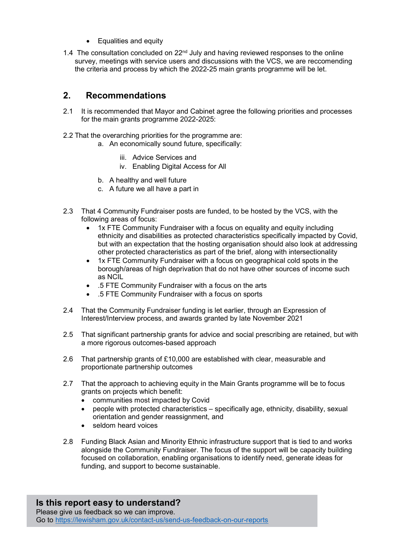- Equalities and equity
- 1.4 The consultation concluded on 22<sup>nd</sup> July and having reviewed responses to the online survey, meetings with service users and discussions with the VCS, we are reccomending the criteria and process by which the 2022-25 main grants programme will be let.

# 2. Recommendations

- 2.1 It is recommended that Mayor and Cabinet agree the following priorities and processes for the main grants programme 2022-2025:
- 2.2 That the overarching priorities for the programme are:
	- a. An economically sound future, specifically:
		- iii. Advice Services and
		- iv. Enabling Digital Access for All
		- b. A healthy and well future
		- c. A future we all have a part in
- 2.3 That 4 Community Fundraiser posts are funded, to be hosted by the VCS, with the following areas of focus:
	- 1x FTE Community Fundraiser with a focus on equality and equity including ethnicity and disabilities as protected characteristics specifically impacted by Covid, but with an expectation that the hosting organisation should also look at addressing other protected characteristics as part of the brief, along with intersectionality
	- 1x FTE Community Fundraiser with a focus on geographical cold spots in the borough/areas of high deprivation that do not have other sources of income such as NCIL
	- .5 FTE Community Fundraiser with a focus on the arts
	- .5 FTE Community Fundraiser with a focus on sports
- 2.4 That the Community Fundraiser funding is let earlier, through an Expression of Interest/Interview process, and awards granted by late November 2021
- 2.5 That significant partnership grants for advice and social prescribing are retained, but with a more rigorous outcomes-based approach
- 2.6 That partnership grants of £10,000 are established with clear, measurable and proportionate partnership outcomes
- 2.7 That the approach to achieving equity in the Main Grants programme will be to focus grants on projects which benefit:
	- communities most impacted by Covid
	- people with protected characteristics specifically age, ethnicity, disability, sexual orientation and gender reassignment, and
	- seldom heard voices
- 2.8 Funding Black Asian and Minority Ethnic infrastructure support that is tied to and works alongside the Community Fundraiser. The focus of the support will be capacity building focused on collaboration, enabling organisations to identify need, generate ideas for funding, and support to become sustainable.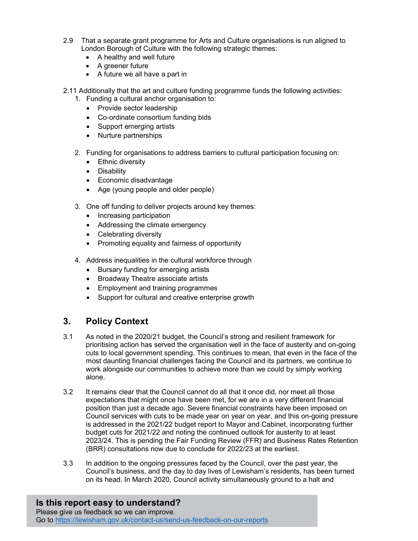- 2.9 That a separate grant programme for Arts and Culture organisations is run aligned to London Borough of Culture with the following strategic themes:
	- A healthy and well future
	- A greener future
	- A future we all have a part in

2.11 Additionally that the art and culture funding programme funds the following activities:

- 1. Funding a cultural anchor organisation to:
	- Provide sector leadership
	- Co-ordinate consortium funding bids
	- Support emerging artists
	- Nurture partnerships
- 2. Funding for organisations to address barriers to cultural participation focusing on:
	- Ethnic diversity
	- Disability
	- Economic disadvantage
	- Age (young people and older people)
- 3. One off funding to deliver projects around key themes:
	- Increasing participation
	- Addressing the climate emergency
	- Celebrating diversity
	- Promoting equality and fairness of opportunity
- 4. Address inequalities in the cultural workforce through
	- Bursary funding for emerging artists
	- Broadway Theatre associate artists
	- Employment and training programmes
	- Support for cultural and creative enterprise growth

## 3. Policy Context

- 3.1 As noted in the 2020/21 budget, the Council's strong and resilient framework for prioritising action has served the organisation well in the face of austerity and on-going cuts to local government spending. This continues to mean, that even in the face of the most daunting financial challenges facing the Council and its partners, we continue to work alongside our communities to achieve more than we could by simply working alone.
- 3.2 It remains clear that the Council cannot do all that it once did, nor meet all those expectations that might once have been met, for we are in a very different financial position than just a decade ago. Severe financial constraints have been imposed on Council services with cuts to be made year on year on year, and this on-going pressure is addressed in the 2021/22 budget report to Mayor and Cabinet, incorporating further budget cuts for 2021/22 and noting the continued outlook for austerity to at least 2023/24. This is pending the Fair Funding Review (FFR) and Business Rates Retention (BRR) consultations now due to conclude for 2022/23 at the earliest.
- 3.3 In addition to the ongoing pressures faced by the Council, over the past year, the Council's business, and the day to day lives of Lewisham's residents, has been turned on its head. In March 2020, Council activity simultaneously ground to a halt and

#### Is this report easy to understand? Please give us feedback so we can improve. Go to https://lewisham.gov.uk/contact-us/send-us-feedback-on-our-reports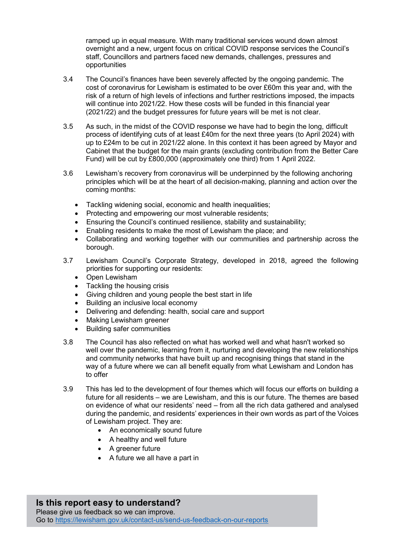ramped up in equal measure. With many traditional services wound down almost overnight and a new, urgent focus on critical COVID response services the Council's staff, Councillors and partners faced new demands, challenges, pressures and opportunities

- 3.4 The Council's finances have been severely affected by the ongoing pandemic. The cost of coronavirus for Lewisham is estimated to be over £60m this year and, with the risk of a return of high levels of infections and further restrictions imposed, the impacts will continue into 2021/22. How these costs will be funded in this financial year (2021/22) and the budget pressures for future years will be met is not clear.
- 3.5 As such, in the midst of the COVID response we have had to begin the long, difficult process of identifying cuts of at least £40m for the next three years (to April 2024) with up to £24m to be cut in 2021/22 alone. In this context it has been agreed by Mayor and Cabinet that the budget for the main grants (excluding contribution from the Better Care Fund) will be cut by £800,000 (approximately one third) from 1 April 2022.
- 3.6 Lewisham's recovery from coronavirus will be underpinned by the following anchoring principles which will be at the heart of all decision-making, planning and action over the coming months:
	- Tackling widening social, economic and health inequalities;
	- Protecting and empowering our most vulnerable residents;
	- Ensuring the Council's continued resilience, stability and sustainability;
	- Enabling residents to make the most of Lewisham the place; and
	- Collaborating and working together with our communities and partnership across the borough.
- 3.7 Lewisham Council's Corporate Strategy, developed in 2018, agreed the following priorities for supporting our residents:
	- Open Lewisham
	- Tackling the housing crisis
	- Giving children and young people the best start in life
	- Building an inclusive local economy
	- Delivering and defending: health, social care and support
	- Making Lewisham greener
	- Building safer communities
- 3.8 The Council has also reflected on what has worked well and what hasn't worked so well over the pandemic, learning from it, nurturing and developing the new relationships and community networks that have built up and recognising things that stand in the way of a future where we can all benefit equally from what Lewisham and London has to offer
- 3.9 This has led to the development of four themes which will focus our efforts on building a future for all residents – we are Lewisham, and this is our future. The themes are based on evidence of what our residents' need – from all the rich data gathered and analysed during the pandemic, and residents' experiences in their own words as part of the Voices of Lewisham project. They are:
	- An economically sound future
	- A healthy and well future
	- A greener future
	- A future we all have a part in

### Is this report easy to understand? Please give us feedback so we can improve. Go to https://lewisham.gov.uk/contact-us/send-us-feedback-on-our-reports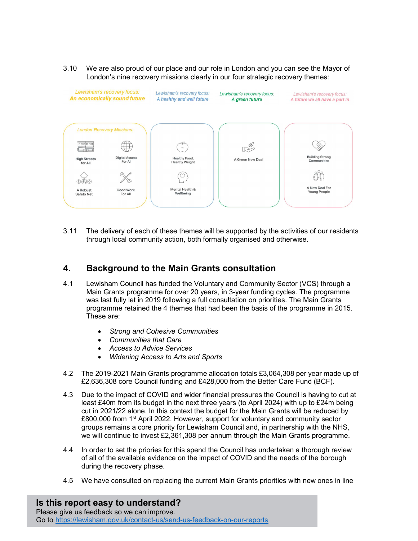3.10 We are also proud of our place and our role in London and you can see the Mayor of London's nine recovery missions clearly in our four strategic recovery themes:



3.11 The delivery of each of these themes will be supported by the activities of our residents through local community action, both formally organised and otherwise.

## 4. Background to the Main Grants consultation

- 4.1 Lewisham Council has funded the Voluntary and Community Sector (VCS) through a Main Grants programme for over 20 years, in 3-year funding cycles. The programme was last fully let in 2019 following a full consultation on priorities. The Main Grants programme retained the 4 themes that had been the basis of the programme in 2015. These are:
	- Strong and Cohesive Communities
	- Communities that Care
	- Access to Advice Services
	- Widening Access to Arts and Sports
- 4.2 The 2019-2021 Main Grants programme allocation totals £3,064,308 per year made up of £2,636,308 core Council funding and £428,000 from the Better Care Fund (BCF).
- 4.3 Due to the impact of COVID and wider financial pressures the Council is having to cut at least £40m from its budget in the next three years (to April 2024) with up to £24m being cut in 2021/22 alone. In this context the budget for the Main Grants will be reduced by £800,000 from 1<sup>st</sup> April 2022. However, support for voluntary and community sector groups remains a core priority for Lewisham Council and, in partnership with the NHS, we will continue to invest £2,361,308 per annum through the Main Grants programme.
- 4.4 In order to set the priories for this spend the Council has undertaken a thorough review of all of the available evidence on the impact of COVID and the needs of the borough during the recovery phase.
- 4.5 We have consulted on replacing the current Main Grants priorities with new ones in line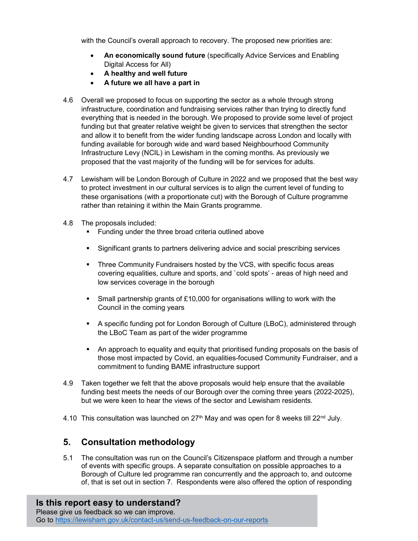with the Council's overall approach to recovery. The proposed new priorities are:

- An economically sound future (specifically Advice Services and Enabling Digital Access for All)
- A healthy and well future
- A future we all have a part in
- 4.6 Overall we proposed to focus on supporting the sector as a whole through strong infrastructure, coordination and fundraising services rather than trying to directly fund everything that is needed in the borough. We proposed to provide some level of project funding but that greater relative weight be given to services that strengthen the sector and allow it to benefit from the wider funding landscape across London and locally with funding available for borough wide and ward based Neighbourhood Community Infrastructure Levy (NCIL) in Lewisham in the coming months. As previously we proposed that the vast majority of the funding will be for services for adults.
- 4.7 Lewisham will be London Borough of Culture in 2022 and we proposed that the best way to protect investment in our cultural services is to align the current level of funding to these organisations (with a proportionate cut) with the Borough of Culture programme rather than retaining it within the Main Grants programme.
- 4.8 The proposals included:
	- **Funding under the three broad criteria outlined above**
	- Significant grants to partners delivering advice and social prescribing services
	- Three Community Fundraisers hosted by the VCS, with specific focus areas covering equalities, culture and sports, and `cold spots' - areas of high need and low services coverage in the borough
	- Small partnership grants of £10,000 for organisations willing to work with the Council in the coming years
	- A specific funding pot for London Borough of Culture (LBoC), administered through the LBoC Team as part of the wider programme
	- An approach to equality and equity that prioritised funding proposals on the basis of those most impacted by Covid, an equalities-focused Community Fundraiser, and a commitment to funding BAME infrastructure support
- 4.9 Taken together we felt that the above proposals would help ensure that the available funding best meets the needs of our Borough over the coming three years (2022-2025), but we were keen to hear the views of the sector and Lewisham residents.
- 4.10 This consultation was launched on  $27<sup>th</sup>$  May and was open for 8 weeks till  $22<sup>nd</sup>$  July.

### 5. Consultation methodology

5.1 The consultation was run on the Council's Citizenspace platform and through a number of events with specific groups. A separate consultation on possible approaches to a Borough of Culture led programme ran concurrently and the approach to, and outcome of, that is set out in section 7. Respondents were also offered the option of responding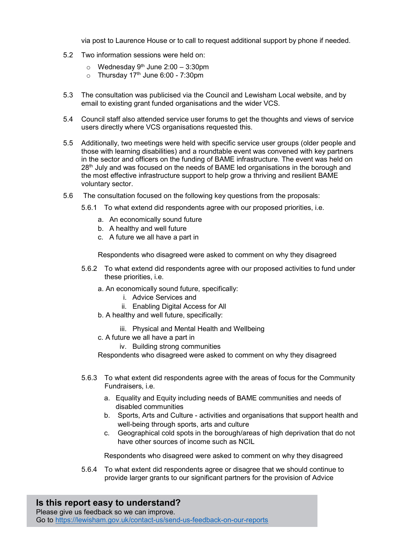via post to Laurence House or to call to request additional support by phone if needed.

- 5.2 Two information sessions were held on:
	- $\circ$  Wednesday 9<sup>th</sup> June 2:00 3:30pm
	- $\circ$  Thursday 17<sup>th</sup> June 6:00 7:30pm
- 5.3 The consultation was publicised via the Council and Lewisham Local website, and by email to existing grant funded organisations and the wider VCS.
- 5.4 Council staff also attended service user forums to get the thoughts and views of service users directly where VCS organisations requested this.
- 5.5 Additionally, two meetings were held with specific service user groups (older people and those with learning disabilities) and a roundtable event was convened with key partners in the sector and officers on the funding of BAME infrastructure. The event was held on 28<sup>th</sup> July and was focused on the needs of BAME led organisations in the borough and the most effective infrastructure support to help grow a thriving and resilient BAME voluntary sector.
- 5.6 The consultation focused on the following key questions from the proposals:
	- 5.6.1 To what extend did respondents agree with our proposed priorities, i.e.
		- a. An economically sound future
		- b. A healthy and well future
		- c. A future we all have a part in

Respondents who disagreed were asked to comment on why they disagreed

- 5.6.2 To what extend did respondents agree with our proposed activities to fund under these priorities, i.e.
	- a. An economically sound future, specifically:
		- i. Advice Services and
		- ii. Enabling Digital Access for All
	- b. A healthy and well future, specifically:
		- iii. Physical and Mental Health and Wellbeing
	- c. A future we all have a part in
		- iv. Building strong communities

Respondents who disagreed were asked to comment on why they disagreed

- 5.6.3 To what extent did respondents agree with the areas of focus for the Community Fundraisers, i.e.
	- a. Equality and Equity including needs of BAME communities and needs of disabled communities
	- b. Sports, Arts and Culture activities and organisations that support health and well-being through sports, arts and culture
	- c. Geographical cold spots in the borough/areas of high deprivation that do not have other sources of income such as NCIL

Respondents who disagreed were asked to comment on why they disagreed

5.6.4 To what extent did respondents agree or disagree that we should continue to provide larger grants to our significant partners for the provision of Advice

Is this report easy to understand? Please give us feedback so we can improve. Go to https://lewisham.gov.uk/contact-us/send-us-feedback-on-our-reports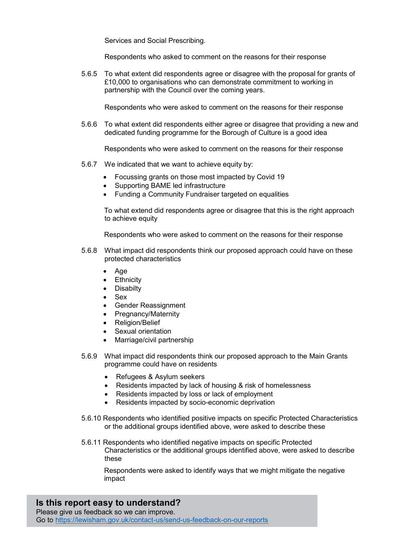Services and Social Prescribing.

Respondents who asked to comment on the reasons for their response

5.6.5 To what extent did respondents agree or disagree with the proposal for grants of £10,000 to organisations who can demonstrate commitment to working in partnership with the Council over the coming years.

Respondents who were asked to comment on the reasons for their response

5.6.6 To what extent did respondents either agree or disagree that providing a new and dedicated funding programme for the Borough of Culture is a good idea

Respondents who were asked to comment on the reasons for their response

- 5.6.7 We indicated that we want to achieve equity by:
	- Focussing grants on those most impacted by Covid 19
	- Supporting BAME led infrastructure
	- Funding a Community Fundraiser targeted on equalities

To what extend did respondents agree or disagree that this is the right approach to achieve equity

Respondents who were asked to comment on the reasons for their response

- 5.6.8 What impact did respondents think our proposed approach could have on these protected characteristics
	- Age
	- Ethnicity
	- Disabilty
	- Sex
	- Gender Reassignment
	- Pregnancy/Maternity
	- Religion/Belief
	- Sexual orientation
	- Marriage/civil partnership
- 5.6.9 What impact did respondents think our proposed approach to the Main Grants programme could have on residents
	- Refugees & Asylum seekers
	- Residents impacted by lack of housing & risk of homelessness
	- Residents impacted by loss or lack of employment
	- Residents impacted by socio-economic deprivation
- 5.6.10 Respondents who identified positive impacts on specific Protected Characteristics or the additional groups identified above, were asked to describe these
- 5.6.11 Respondents who identified negative impacts on specific Protected Characteristics or the additional groups identified above, were asked to describe these

Respondents were asked to identify ways that we might mitigate the negative impact

# Is this report easy to understand?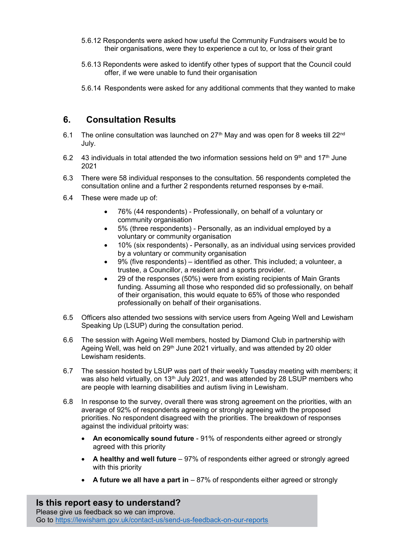- 5.6.12 Respondents were asked how useful the Community Fundraisers would be to their organisations, were they to experience a cut to, or loss of their grant
- 5.6.13 Repondents were asked to identify other types of support that the Council could offer, if we were unable to fund their organisation
- 5.6.14 Respondents were asked for any additional comments that they wanted to make

# 6. Consultation Results

- 6.1 The online consultation was launched on  $27<sup>th</sup>$  May and was open for 8 weeks till  $22<sup>nd</sup>$ July.
- 6.2 43 individuals in total attended the two information sessions held on  $9<sup>th</sup>$  and 17<sup>th</sup> June 2021
- 6.3 There were 58 individual responses to the consultation. 56 respondents completed the consultation online and a further 2 respondents returned responses by e-mail.
- 6.4 These were made up of:
	- 76% (44 respondents) Professionally, on behalf of a voluntary or community organisation
	- 5% (three respondents) Personally, as an individual employed by a voluntary or community organisation
	- 10% (six respondents) Personally, as an individual using services provided by a voluntary or community organisation
	- 9% (five respondents) identified as other. This included; a volunteer, a trustee, a Councillor, a resident and a sports provider.
	- 29 of the responses (50%) were from existing recipients of Main Grants funding. Assuming all those who responded did so professionally, on behalf of their organisation, this would equate to 65% of those who responded professionally on behalf of their organisations.
- 6.5 Officers also attended two sessions with service users from Ageing Well and Lewisham Speaking Up (LSUP) during the consultation period.
- 6.6 The session with Ageing Well members, hosted by Diamond Club in partnership with Ageing Well, was held on 29<sup>th</sup> June 2021 virtually, and was attended by 20 older Lewisham residents.
- 6.7 The session hosted by LSUP was part of their weekly Tuesday meeting with members; it was also held virtually, on 13<sup>th</sup> July 2021, and was attended by 28 LSUP members who are people with learning disabilities and autism living in Lewisham.
- 6.8 In response to the survey, overall there was strong agreement on the priorities, with an average of 92% of respondents agreeing or strongly agreeing with the proposed priorities. No respondent disagreed with the priorities. The breakdown of responses against the individual pritoirty was:
	- An economically sound future 91% of respondents either agreed or strongly agreed with this priority
	- $\bullet$  A healthy and well future  $-97\%$  of respondents either agreed or strongly agreed with this priority
	- A future we all have a part in  $-87\%$  of respondents either agreed or strongly

Is this report easy to understand? Please give us feedback so we can improve. Go to https://lewisham.gov.uk/contact-us/send-us-feedback-on-our-reports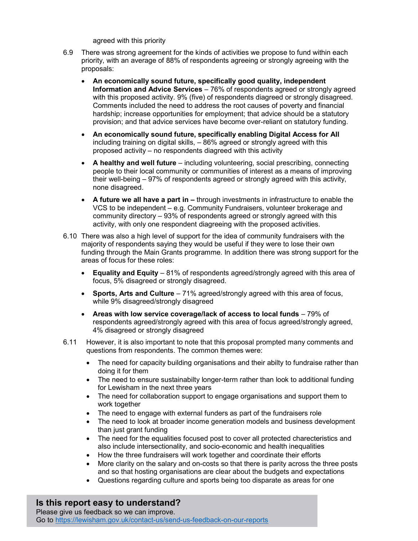agreed with this priority

- 6.9 There was strong agreement for the kinds of activities we propose to fund within each priority, with an average of 88% of respondents agreeing or strongly agreeing with the proposals:
	- An economically sound future, specifically good quality, independent Information and Advice Services – 76% of respondents agreed or strongly agreed with this proposed activity. 9% (five) of respondents diagreed or strongly disagreed. Comments included the need to address the root causes of poverty and financial hardship; increase opportunities for employment; that advice should be a statutory provision; and that advice services have become over-reliant on statutory funding.
	- An economically sound future, specifically enabling Digital Access for All including training on digital skills, – 86% agreed or strongly agreed with this proposed activity – no respondents diagreed with this activity
	- A healthy and well future including volunteering, social prescribing, connecting people to their local community or communities of interest as a means of improving their well-being – 97% of respondents agreed or strongly agreed with this activity, none disagreed.
	- A future we all have a part in through investments in infrastructure to enable the VCS to be independent – e.g. Community Fundraisers, volunteer brokerage and community directory – 93% of respondents agreed or strongly agreed with this activity, with only one respondent diagreeing with the proposed activities.
- 6.10 There was also a high level of support for the idea of community fundraisers with the majority of respondents saying they would be useful if they were to lose their own funding through the Main Grants programme. In addition there was strong support for the areas of focus for these roles:
	- **Equality and Equity** 81% of respondents agreed/strongly agreed with this area of focus, 5% disagreed or strongly disagreed.
	- Sports, Arts and Culture 71% agreed/strongly agreed with this area of focus, while 9% disagreed/strongly disagreed
	- Areas with low service coverage/lack of access to local funds 79% of respondents agreed/strongly agreed with this area of focus agreed/strongly agreed, 4% disagreed or strongly disagreed
- 6.11 However, it is also important to note that this proposal prompted many comments and questions from respondents. The common themes were:
	- The need for capacity building organisations and their abilty to fundraise rather than doing it for them
	- The need to ensure sustainabilty longer-term rather than look to additional funding for Lewisham in the next three years
	- The need for collaboration support to engage organisations and support them to work together
	- The need to engage with external funders as part of the fundraisers role
	- The need to look at broader income generation models and business development than just grant funding
	- The need for the equalities focused post to cover all protected charecteristics and also include intersectionality, and socio-economic and health inequalities
	- How the three fundraisers will work together and coordinate their efforts
	- More clarity on the salary and on-costs so that there is parity across the three posts and so that hosting organisations are clear about the budgets and expectations
	- Questions regarding culture and sports being too disparate as areas for one

Is this report easy to understand?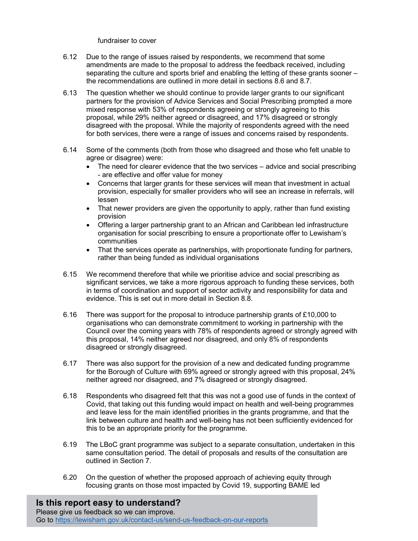#### fundraiser to cover

- 6.12 Due to the range of issues raised by respondents, we recommend that some amendments are made to the proposal to address the feedback received, including separating the culture and sports brief and enabling the letting of these grants sooner – the recommendations are outlined in more detail in sections 8.6 and 8.7.
- 6.13 The question whether we should continue to provide larger grants to our significant partners for the provision of Advice Services and Social Prescribing prompted a more mixed response with 53% of respondents agreeing or strongly agreeing to this proposal, while 29% neither agreed or disagreed, and 17% disagreed or strongly disagreed with the proposal. While the majority of respondents agreed with the need for both services, there were a range of issues and concerns raised by respondents.
- 6.14 Some of the comments (both from those who disagreed and those who felt unable to agree or disagree) were:
	- The need for clearer evidence that the two services advice and social prescribing - are effective and offer value for money
	- Concerns that larger grants for these services will mean that investment in actual provision, especially for smaller providers who will see an increase in referrals, will lessen
	- That newer providers are given the opportunity to apply, rather than fund existing provision
	- Offering a larger partnership grant to an African and Caribbean led infrastructure organisation for social prescribing to ensure a proportionate offer to Lewisham's communities
	- That the services operate as partnerships, with proportionate funding for partners, rather than being funded as individual organisations
- 6.15 We recommend therefore that while we prioritise advice and social prescribing as significant services, we take a more rigorous approach to funding these services, both in terms of coordination and support of sector activity and responsibility for data and evidence. This is set out in more detail in Section 8.8.
- 6.16 There was support for the proposal to introduce partnership grants of £10,000 to organisations who can demonstrate commitment to working in partnership with the Council over the coming years with 78% of respondents agreed or strongly agreed with this proposal, 14% neither agreed nor disagreed, and only 8% of respondents disagreed or strongly disagreed.
- 6.17 There was also support for the provision of a new and dedicated funding programme for the Borough of Culture with 69% agreed or strongly agreed with this proposal, 24% neither agreed nor disagreed, and 7% disagreed or strongly disagreed.
- 6.18 Respondents who disagreed felt that this was not a good use of funds in the context of Covid, that taking out this funding would impact on health and well-being programmes and leave less for the main identified priorities in the grants programme, and that the link between culture and health and well-being has not been sufficiently evidenced for this to be an appropriate priority for the programme.
- 6.19 The LBoC grant programme was subject to a separate consultation, undertaken in this same consultation period. The detail of proposals and results of the consultation are outlined in Section 7.
- 6.20 On the question of whether the proposed approach of achieving equity through focusing grants on those most impacted by Covid 19, supporting BAME led

Is this report easy to understand?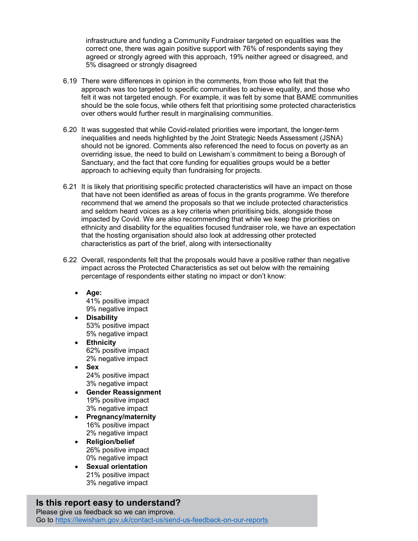infrastructure and funding a Community Fundraiser targeted on equalities was the correct one, there was again positive support with 76% of respondents saying they agreed or strongly agreed with this approach, 19% neither agreed or disagreed, and 5% disagreed or strongly disagreed

- 6.19 There were differences in opinion in the comments, from those who felt that the approach was too targeted to specific communities to achieve equality, and those who felt it was not targeted enough. For example, it was felt by some that BAME communities should be the sole focus, while others felt that prioritising some protected characteristics over others would further result in marginalising communities.
- 6.20 It was suggested that while Covid-related priorities were important, the longer-term inequalities and needs highlighted by the Joint Strategic Needs Assessment (JSNA) should not be ignored. Comments also referenced the need to focus on poverty as an overriding issue, the need to build on Lewisham's commitment to being a Borough of Sanctuary, and the fact that core funding for equalities groups would be a better approach to achieving equity than fundraising for projects.
- 6.21 It is likely that prioritising specific protected characteristics will have an impact on those that have not been identified as areas of focus in the grants programme. We therefore recommend that we amend the proposals so that we include protected characteristics and seldom heard voices as a key criteria when prioritising bids, alongside those impacted by Covid. We are also recommending that while we keep the priorities on ethnicity and disability for the equalities focused fundraiser role, we have an expectation that the hosting organisation should also look at addressing other protected characteristics as part of the brief, along with intersectionality
- 6.22 Overall, respondents felt that the proposals would have a positive rather than negative impact across the Protected Characteristics as set out below with the remaining percentage of respondents either stating no impact or don't know:
	- Age: 41% positive impact 9% negative impact
	- Disability 53% positive impact 5% negative impact
	- Ethnicity 62% positive impact 2% negative impact
	- Sex 24% positive impact 3% negative impact
	- Gender Reassignment 19% positive impact 3% negative impact
	- Pregnancy/maternity 16% positive impact 2% negative impact
	- Religion/belief 26% positive impact 0% negative impact
	- **Sexual orientation** 21% positive impact 3% negative impact

# Is this report easy to understand?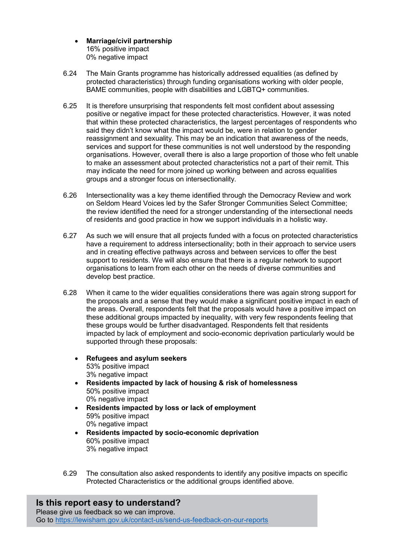- Marriage/civil partnership 16% positive impact 0% negative impact
- 6.24 The Main Grants programme has historically addressed equalities (as defined by protected characteristics) through funding organisations working with older people, BAME communities, people with disabilities and LGBTQ+ communities.
- 6.25 It is therefore unsurprising that respondents felt most confident about assessing positive or negative impact for these protected characteristics. However, it was noted that within these protected characteristics, the largest percentages of respondents who said they didn't know what the impact would be, were in relation to gender reassignment and sexuality. This may be an indication that awareness of the needs, services and support for these communities is not well understood by the responding organisations. However, overall there is also a large proportion of those who felt unable to make an assessment about protected characteristics not a part of their remit. This may indicate the need for more joined up working between and across equalities groups and a stronger focus on intersectionality.
- 6.26 Intersectionality was a key theme identified through the Democracy Review and work on Seldom Heard Voices led by the Safer Stronger Communities Select Committee; the review identified the need for a stronger understanding of the intersectional needs of residents and good practice in how we support individuals in a holistic way.
- 6.27 As such we will ensure that all projects funded with a focus on protected characteristics have a requirement to address intersectionality; both in their approach to service users and in creating effective pathways across and between services to offer the best support to residents. We will also ensure that there is a regular network to support organisations to learn from each other on the needs of diverse communities and develop best practice.
- 6.28 When it came to the wider equalities considerations there was again strong support for the proposals and a sense that they would make a significant positive impact in each of the areas. Overall, respondents felt that the proposals would have a positive impact on these additional groups impacted by inequality, with very few respondents feeling that these groups would be further disadvantaged. Respondents felt that residents impacted by lack of employment and socio-economic deprivation particularly would be supported through these proposals:
	- Refugees and asylum seekers 53% positive impact 3% negative impact
	- Residents impacted by lack of housing & risk of homelessness 50% positive impact 0% negative impact
	- Residents impacted by loss or lack of employment 59% positive impact 0% negative impact
	- Residents impacted by socio-economic deprivation 60% positive impact 3% negative impact
- 6.29 The consultation also asked respondents to identify any positive impacts on specific Protected Characteristics or the additional groups identified above.

# Is this report easy to understand?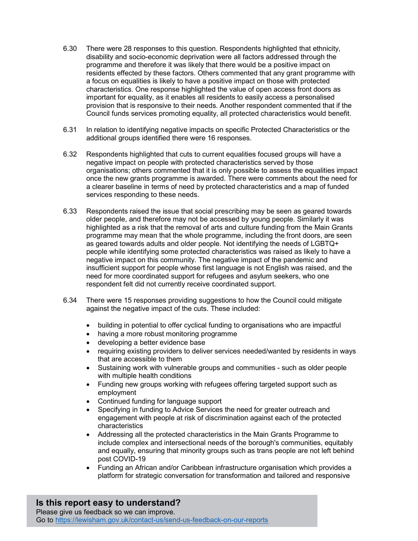- 6.30 There were 28 responses to this question. Respondents highlighted that ethnicity, disability and socio-economic deprivation were all factors addressed through the programme and therefore it was likely that there would be a positive impact on residents effected by these factors. Others commented that any grant programme with a focus on equalities is likely to have a positive impact on those with protected characteristics. One response highlighted the value of open access front doors as important for equality, as it enables all residents to easily access a personalised provision that is responsive to their needs. Another respondent commented that if the Council funds services promoting equality, all protected characteristics would benefit.
- 6.31 In relation to identifying negative impacts on specific Protected Characteristics or the additional groups identified there were 16 responses.
- 6.32 Respondents highlighted that cuts to current equalities focused groups will have a negative impact on people with protected characteristics served by those organisations; others commented that it is only possible to assess the equalities impact once the new grants programme is awarded. There were comments about the need for a clearer baseline in terms of need by protected characteristics and a map of funded services responding to these needs.
- 6.33 Respondents raised the issue that social prescribing may be seen as geared towards older people, and therefore may not be accessed by young people. Similarly it was highlighted as a risk that the removal of arts and culture funding from the Main Grants programme may mean that the whole programme, including the front doors, are seen as geared towards adults and older people. Not identifying the needs of LGBTQ+ people while identifying some protected characteristics was raised as likely to have a negative impact on this community. The negative impact of the pandemic and insufficient support for people whose first language is not English was raised, and the need for more coordinated support for refugees and asylum seekers, who one respondent felt did not currently receive coordinated support.
- 6.34 There were 15 responses providing suggestions to how the Council could mitigate against the negative impact of the cuts. These included:
	- building in potential to offer cyclical funding to organisations who are impactful
	- having a more robust monitoring programme
	- developing a better evidence base
	- requiring existing providers to deliver services needed/wanted by residents in ways that are accessible to them
	- Sustaining work with vulnerable groups and communities such as older people with multiple health conditions
	- Funding new groups working with refugees offering targeted support such as employment
	- Continued funding for language support
	- Specifying in funding to Advice Services the need for greater outreach and engagement with people at risk of discrimination against each of the protected characteristics
	- Addressing all the protected characteristics in the Main Grants Programme to include complex and intersectional needs of the borough's communities, equitably and equally, ensuring that minority groups such as trans people are not left behind post COVID-19
	- Funding an African and/or Caribbean infrastructure organisation which provides a platform for strategic conversation for transformation and tailored and responsive

#### Is this report easy to understand? Please give us feedback so we can improve.

Go to https://lewisham.gov.uk/contact-us/send-us-feedback-on-our-reports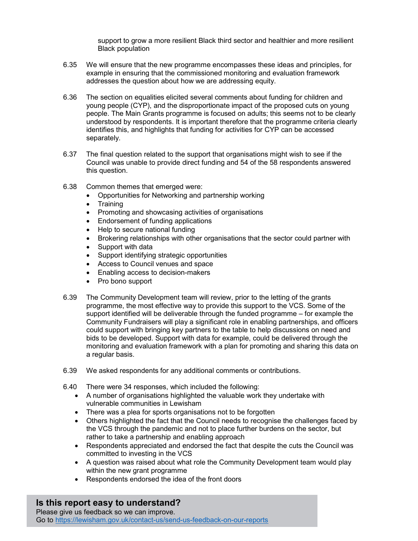support to grow a more resilient Black third sector and healthier and more resilient Black population

- 6.35 We will ensure that the new programme encompasses these ideas and principles, for example in ensuring that the commissioned monitoring and evaluation framework addresses the question about how we are addressing equity.
- 6.36 The section on equalities elicited several comments about funding for children and young people (CYP), and the disproportionate impact of the proposed cuts on young people. The Main Grants programme is focused on adults; this seems not to be clearly understood by respondents. It is important therefore that the programme criteria clearly identifies this, and highlights that funding for activities for CYP can be accessed separately.
- 6.37 The final question related to the support that organisations might wish to see if the Council was unable to provide direct funding and 54 of the 58 respondents answered this question.
- 6.38 Common themes that emerged were:
	- Opportunities for Networking and partnership working
	- Training
	- Promoting and showcasing activities of organisations
	- Endorsement of funding applications
	- Help to secure national funding
	- Brokering relationships with other organisations that the sector could partner with
	- Support with data
	- Support identifying strategic opportunities
	- Access to Council venues and space
	- Enabling access to decision-makers
	- Pro bono support
- 6.39 The Community Development team will review, prior to the letting of the grants programme, the most effective way to provide this support to the VCS. Some of the support identified will be deliverable through the funded programme – for example the Community Fundraisers will play a significant role in enabling partnerships, and officers could support with bringing key partners to the table to help discussions on need and bids to be developed. Support with data for example, could be delivered through the monitoring and evaluation framework with a plan for promoting and sharing this data on a regular basis.
- 6.39 We asked respondents for any additional comments or contributions.
- 6.40 There were 34 responses, which included the following:
	- A number of organisations highlighted the valuable work they undertake with vulnerable communities in Lewisham
	- There was a plea for sports organisations not to be forgotten
	- Others highlighted the fact that the Council needs to recognise the challenges faced by the VCS through the pandemic and not to place further burdens on the sector, but rather to take a partnership and enabling approach
	- Respondents appreciated and endorsed the fact that despite the cuts the Council was committed to investing in the VCS
	- A question was raised about what role the Community Development team would play within the new grant programme
	- Respondents endorsed the idea of the front doors

### Is this report easy to understand?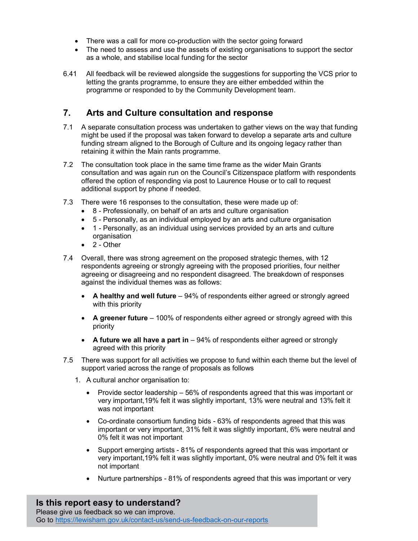- There was a call for more co-production with the sector going forward
- The need to assess and use the assets of existing organisations to support the sector as a whole, and stabilise local funding for the sector
- 6.41 All feedback will be reviewed alongside the suggestions for supporting the VCS prior to letting the grants programme, to ensure they are either embedded within the programme or responded to by the Community Development team.

# 7. Arts and Culture consultation and response

- 7.1 A separate consultation process was undertaken to gather views on the way that funding might be used if the proposal was taken forward to develop a separate arts and culture funding stream aligned to the Borough of Culture and its ongoing legacy rather than retaining it within the Main rants programme.
- 7.2 The consultation took place in the same time frame as the wider Main Grants consultation and was again run on the Council's Citizenspace platform with respondents offered the option of responding via post to Laurence House or to call to request additional support by phone if needed.
- 7.3 There were 16 responses to the consultation, these were made up of:
	- 8 Professionally, on behalf of an arts and culture organisation
	- 5 Personally, as an individual employed by an arts and culture organisation
	- 1 Personally, as an individual using services provided by an arts and culture organisation
	- $\bullet$  2 Other
- 7.4 Overall, there was strong agreement on the proposed strategic themes, with 12 respondents agreeing or strongly agreeing with the proposed priorities, four neither agreeing or disagreeing and no respondent disagreed. The breakdown of responses against the individual themes was as follows:
	- A healthy and well future 94% of respondents either agreed or strongly agreed with this priority
	- A greener future 100% of respondents either agreed or strongly agreed with this priority
	- $\bullet$  A future we all have a part in  $-94\%$  of respondents either agreed or strongly agreed with this priority
- 7.5 There was support for all activities we propose to fund within each theme but the level of support varied across the range of proposals as follows
	- 1. A cultural anchor organisation to:
		- Provide sector leadership 56% of respondents agreed that this was important or very important,19% felt it was slightly important, 13% were neutral and 13% felt it was not important
		- Co-ordinate consortium funding bids 63% of respondents agreed that this was important or very important, 31% felt it was slightly important, 6% were neutral and 0% felt it was not important
		- Support emerging artists 81% of respondents agreed that this was important or very important,19% felt it was slightly important, 0% were neutral and 0% felt it was not important
		- Nurture partnerships 81% of respondents agreed that this was important or very

Is this report easy to understand? Please give us feedback so we can improve. Go to https://lewisham.gov.uk/contact-us/send-us-feedback-on-our-reports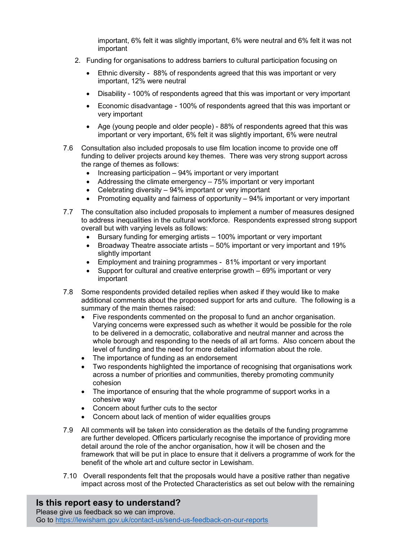important, 6% felt it was slightly important, 6% were neutral and 6% felt it was not important

- 2. Funding for organisations to address barriers to cultural participation focusing on
	- Ethnic diversity 88% of respondents agreed that this was important or very important, 12% were neutral
	- Disability 100% of respondents agreed that this was important or very important
	- Economic disadvantage 100% of respondents agreed that this was important or very important
	- Age (young people and older people) 88% of respondents agreed that this was important or very important, 6% felt it was slightly important, 6% were neutral
- 7.6 Consultation also included proposals to use film location income to provide one off funding to deliver projects around key themes. There was very strong support across the range of themes as follows:
	- $\bullet$  Increasing participation  $-94\%$  important or very important
	- Addressing the climate emergency 75% important or very important
	- Celebrating diversity 94% important or very important
	- Promoting equality and fairness of opportunity 94% important or very important
- 7.7 The consultation also included proposals to implement a number of measures designed to address inequalities in the cultural workforce. Respondents expressed strong support overall but with varying levels as follows:
	- Bursary funding for emerging artists 100% important or very important
	- Broadway Theatre associate artists 50% important or very important and 19% slightly important
	- Employment and training programmes 81% important or very important
	- Support for cultural and creative enterprise growth 69% important or very important
- 7.8 Some respondents provided detailed replies when asked if they would like to make additional comments about the proposed support for arts and culture. The following is a summary of the main themes raised:
	- Five respondents commented on the proposal to fund an anchor organisation. Varying concerns were expressed such as whether it would be possible for the role to be delivered in a democratic, collaborative and neutral manner and across the whole borough and responding to the needs of all art forms. Also concern about the level of funding and the need for more detailed information about the role.
	- The importance of funding as an endorsement
	- Two respondents highlighted the importance of recognising that organisations work across a number of priorities and communities, thereby promoting community cohesion
	- The importance of ensuring that the whole programme of support works in a cohesive way
	- Concern about further cuts to the sector
	- Concern about lack of mention of wider equalities groups
- 7.9 All comments will be taken into consideration as the details of the funding programme are further developed. Officers particularly recognise the importance of providing more detail around the role of the anchor organisation, how it will be chosen and the framework that will be put in place to ensure that it delivers a programme of work for the benefit of the whole art and culture sector in Lewisham.
- 7.10 Overall respondents felt that the proposals would have a positive rather than negative impact across most of the Protected Characteristics as set out below with the remaining

## Is this report easy to understand?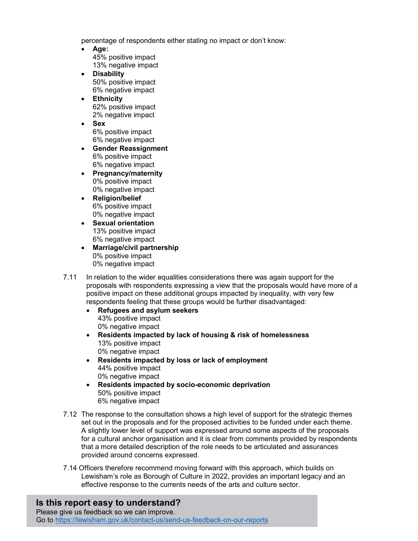percentage of respondents either stating no impact or don't know:

- Age: 45% positive impact 13% negative impact
- Disability 50% positive impact 6% negative impact
- **Ethnicity** 62% positive impact 2% negative impact
- Sex 6% positive impact 6% negative impact
- Gender Reassignment 6% positive impact 6% negative impact
- Pregnancy/maternity 0% positive impact 0% negative impact
- Religion/belief 6% positive impact 0% negative impact
- Sexual orientation 13% positive impact 6% negative impact
- Marriage/civil partnership 0% positive impact 0% negative impact
- 7.11 In relation to the wider equalities considerations there was again support for the proposals with respondents expressing a view that the proposals would have more of a positive impact on these additional groups impacted by inequality, with very few respondents feeling that these groups would be further disadvantaged:
	- Refugees and asylum seekers 43% positive impact 0% negative impact
	- Residents impacted by lack of housing & risk of homelessness 13% positive impact 0% negative impact
	- Residents impacted by loss or lack of employment 44% positive impact 0% negative impact
	- Residents impacted by socio-economic deprivation 50% positive impact 6% negative impact
- 7.12 The response to the consultation shows a high level of support for the strategic themes set out in the proposals and for the proposed activities to be funded under each theme. A slightly lower level of support was expressed around some aspects of the proposals for a cultural anchor organisation and it is clear from comments provided by respondents that a more detailed description of the role needs to be articulated and assurances provided around concerns expressed.
- 7.14 Officers therefore recommend moving forward with this approach, which builds on Lewisham's role as Borough of Culture in 2022, provides an important legacy and an effective response to the currents needs of the arts and culture sector.

## Is this report easy to understand?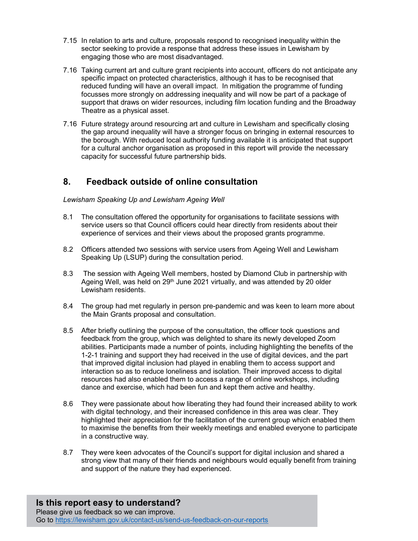- 7.15 In relation to arts and culture, proposals respond to recognised inequality within the sector seeking to provide a response that address these issues in Lewisham by engaging those who are most disadvantaged.
- 7.16 Taking current art and culture grant recipients into account, officers do not anticipate any specific impact on protected characteristics, although it has to be recognised that reduced funding will have an overall impact. In mitigation the programme of funding focusses more strongly on addressing inequality and will now be part of a package of support that draws on wider resources, including film location funding and the Broadway Theatre as a physical asset.
- 7.16 Future strategy around resourcing art and culture in Lewisham and specifically closing the gap around inequality will have a stronger focus on bringing in external resources to the borough. With reduced local authority funding available it is anticipated that support for a cultural anchor organisation as proposed in this report will provide the necessary capacity for successful future partnership bids.

## 8. Feedback outside of online consultation

#### Lewisham Speaking Up and Lewisham Ageing Well

- 8.1 The consultation offered the opportunity for organisations to facilitate sessions with service users so that Council officers could hear directly from residents about their experience of services and their views about the proposed grants programme.
- 8.2 Officers attended two sessions with service users from Ageing Well and Lewisham Speaking Up (LSUP) during the consultation period.
- 8.3 The session with Ageing Well members, hosted by Diamond Club in partnership with Ageing Well, was held on 29<sup>th</sup> June 2021 virtually, and was attended by 20 older Lewisham residents.
- 8.4 The group had met regularly in person pre-pandemic and was keen to learn more about the Main Grants proposal and consultation.
- 8.5 After briefly outlining the purpose of the consultation, the officer took questions and feedback from the group, which was delighted to share its newly developed Zoom abilities. Participants made a number of points, including highlighting the benefits of the 1-2-1 training and support they had received in the use of digital devices, and the part that improved digital inclusion had played in enabling them to access support and interaction so as to reduce loneliness and isolation. Their improved access to digital resources had also enabled them to access a range of online workshops, including dance and exercise, which had been fun and kept them active and healthy.
- 8.6 They were passionate about how liberating they had found their increased ability to work with digital technology, and their increased confidence in this area was clear. They highlighted their appreciation for the facilitation of the current group which enabled them to maximise the benefits from their weekly meetings and enabled everyone to participate in a constructive way.
- 8.7 They were keen advocates of the Council's support for digital inclusion and shared a strong view that many of their friends and neighbours would equally benefit from training and support of the nature they had experienced.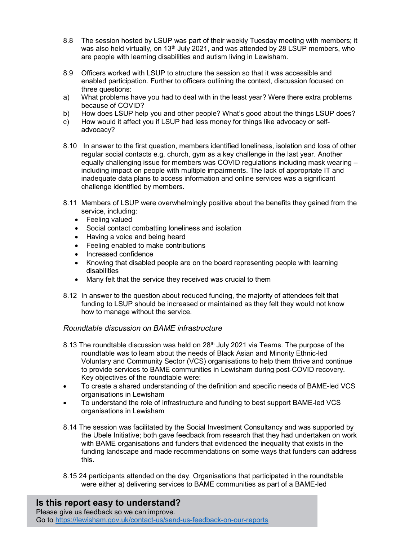- 8.8 The session hosted by LSUP was part of their weekly Tuesday meeting with members; it was also held virtually, on  $13<sup>th</sup>$  July 2021, and was attended by 28 LSUP members, who are people with learning disabilities and autism living in Lewisham.
- 8.9 Officers worked with LSUP to structure the session so that it was accessible and enabled participation. Further to officers outlining the context, discussion focused on three questions:
- a) What problems have you had to deal with in the least year? Were there extra problems because of COVID?
- b) How does LSUP help you and other people? What's good about the things LSUP does?
- c) How would it affect you if LSUP had less money for things like advocacy or selfadvocacy?
- 8.10 In answer to the first question, members identified loneliness, isolation and loss of other regular social contacts e.g. church, gym as a key challenge in the last year. Another equally challenging issue for members was COVID regulations including mask wearing – including impact on people with multiple impairments. The lack of appropriate IT and inadequate data plans to access information and online services was a significant challenge identified by members.
- 8.11 Members of LSUP were overwhelmingly positive about the benefits they gained from the service, including:
	- Feeling valued
	- Social contact combatting loneliness and isolation
	- Having a voice and being heard
	- Feeling enabled to make contributions
	- Increased confidence
	- Knowing that disabled people are on the board representing people with learning disabilities
	- Many felt that the service they received was crucial to them
- 8.12 In answer to the question about reduced funding, the majority of attendees felt that funding to LSUP should be increased or maintained as they felt they would not know how to manage without the service.

### Roundtable discussion on BAME infrastructure

- 8.13 The roundtable discussion was held on  $28<sup>th</sup>$  July 2021 via Teams. The purpose of the roundtable was to learn about the needs of Black Asian and Minority Ethnic-led Voluntary and Community Sector (VCS) organisations to help them thrive and continue to provide services to BAME communities in Lewisham during post-COVID recovery. Key objectives of the roundtable were:
- To create a shared understanding of the definition and specific needs of BAME-led VCS organisations in Lewisham
- To understand the role of infrastructure and funding to best support BAME-led VCS organisations in Lewisham
- 8.14 The session was facilitated by the Social Investment Consultancy and was supported by the Ubele Initiative; both gave feedback from research that they had undertaken on work with BAME organisations and funders that evidenced the inequality that exists in the funding landscape and made recommendations on some ways that funders can address this.
- 8.15 24 participants attended on the day. Organisations that participated in the roundtable were either a) delivering services to BAME communities as part of a BAME-led

Is this report easy to understand?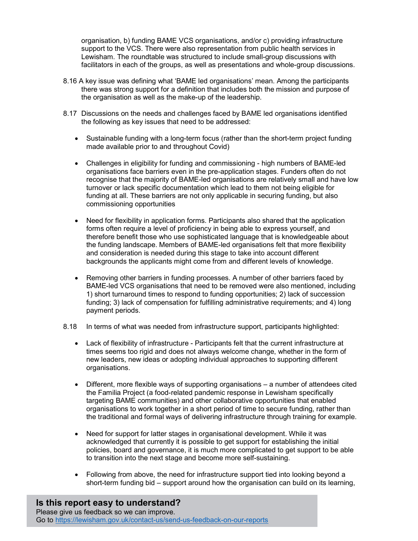organisation, b) funding BAME VCS organisations, and/or c) providing infrastructure support to the VCS. There were also representation from public health services in Lewisham. The roundtable was structured to include small-group discussions with facilitators in each of the groups, as well as presentations and whole-group discussions.

- 8.16 A key issue was defining what 'BAME led organisations' mean. Among the participants there was strong support for a definition that includes both the mission and purpose of the organisation as well as the make-up of the leadership.
- 8.17 Discussions on the needs and challenges faced by BAME led organisations identified the following as key issues that need to be addressed:
	- Sustainable funding with a long-term focus (rather than the short-term project funding made available prior to and throughout Covid)
	- Challenges in eligibility for funding and commissioning high numbers of BAME-led organisations face barriers even in the pre-application stages. Funders often do not recognise that the majority of BAME-led organisations are relatively small and have low turnover or lack specific documentation which lead to them not being eligible for funding at all. These barriers are not only applicable in securing funding, but also commissioning opportunities
	- Need for flexibility in application forms. Participants also shared that the application forms often require a level of proficiency in being able to express yourself, and therefore benefit those who use sophisticated language that is knowledgeable about the funding landscape. Members of BAME-led organisations felt that more flexibility and consideration is needed during this stage to take into account different backgrounds the applicants might come from and different levels of knowledge.
	- Removing other barriers in funding processes. A number of other barriers faced by BAME-led VCS organisations that need to be removed were also mentioned, including 1) short turnaround times to respond to funding opportunities; 2) lack of succession funding; 3) lack of compensation for fulfilling administrative requirements; and 4) long payment periods.
- 8.18 In terms of what was needed from infrastructure support, participants highlighted:
	- Lack of flexibility of infrastructure Participants felt that the current infrastructure at times seems too rigid and does not always welcome change, whether in the form of new leaders, new ideas or adopting individual approaches to supporting different organisations.
	- Different, more flexible ways of supporting organisations a number of attendees cited the Familia Project (a food-related pandemic response in Lewisham specifically targeting BAME communities) and other collaborative opportunities that enabled organisations to work together in a short period of time to secure funding, rather than the traditional and formal ways of delivering infrastructure through training for example.
	- Need for support for latter stages in organisational development. While it was acknowledged that currently it is possible to get support for establishing the initial policies, board and governance, it is much more complicated to get support to be able to transition into the next stage and become more self-sustaining.
	- Following from above, the need for infrastructure support tied into looking beyond a short-term funding bid – support around how the organisation can build on its learning,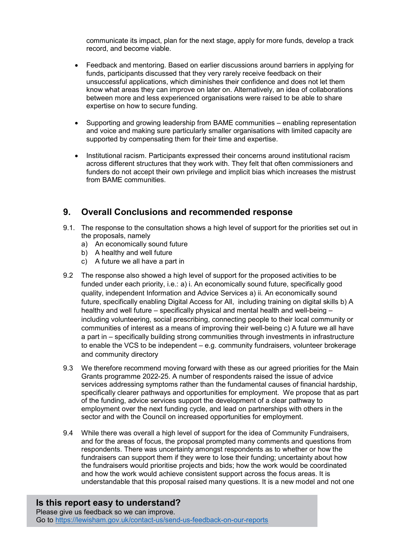communicate its impact, plan for the next stage, apply for more funds, develop a track record, and become viable.

- Feedback and mentoring. Based on earlier discussions around barriers in applying for funds, participants discussed that they very rarely receive feedback on their unsuccessful applications, which diminishes their confidence and does not let them know what areas they can improve on later on. Alternatively, an idea of collaborations between more and less experienced organisations were raised to be able to share expertise on how to secure funding.
- Supporting and growing leadership from BAME communities enabling representation and voice and making sure particularly smaller organisations with limited capacity are supported by compensating them for their time and expertise.
- Institutional racism. Participants expressed their concerns around institutional racism across different structures that they work with. They felt that often commissioners and funders do not accept their own privilege and implicit bias which increases the mistrust from BAME communities.

## 9. Overall Conclusions and recommended response

- 9.1. The response to the consultation shows a high level of support for the priorities set out in the proposals, namely
	- a) An economically sound future
	- b) A healthy and well future
	- c) A future we all have a part in
- 9.2 The response also showed a high level of support for the proposed activities to be funded under each priority, i.e.: a) i. An economically sound future, specifically good quality, independent Information and Advice Services a) ii. An economically sound future, specifically enabling Digital Access for All, including training on digital skills b) A healthy and well future – specifically physical and mental health and well-being – including volunteering, social prescribing, connecting people to their local community or communities of interest as a means of improving their well-being c) A future we all have a part in – specifically building strong communities through investments in infrastructure to enable the VCS to be independent – e.g. community fundraisers, volunteer brokerage and community directory
- 9.3 We therefore recommend moving forward with these as our agreed priorities for the Main Grants programme 2022-25. A number of respondents raised the issue of advice services addressing symptoms rather than the fundamental causes of financial hardship, specifically clearer pathways and opportunities for employment. We propose that as part of the funding, advice services support the development of a clear pathway to employment over the next funding cycle, and lead on partnerships with others in the sector and with the Council on increased opportunities for employment.
- 9.4 While there was overall a high level of support for the idea of Community Fundraisers, and for the areas of focus, the proposal prompted many comments and questions from respondents. There was uncertainty amongst respondents as to whether or how the fundraisers can support them if they were to lose their funding; uncertainty about how the fundraisers would prioritise projects and bids; how the work would be coordinated and how the work would achieve consistent support across the focus areas. It is understandable that this proposal raised many questions. It is a new model and not one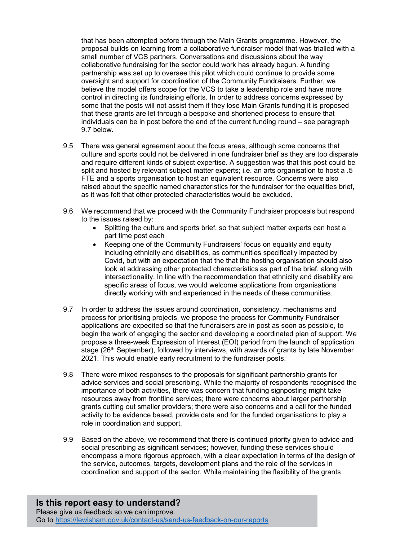that has been attempted before through the Main Grants programme. However, the proposal builds on learning from a collaborative fundraiser model that was trialled with a small number of VCS partners. Conversations and discussions about the way collaborative fundraising for the sector could work has already begun. A funding partnership was set up to oversee this pilot which could continue to provide some oversight and support for coordination of the Community Fundraisers. Further, we believe the model offers scope for the VCS to take a leadership role and have more control in directing its fundraising efforts. In order to address concerns expressed by some that the posts will not assist them if they lose Main Grants funding it is proposed that these grants are let through a bespoke and shortened process to ensure that individuals can be in post before the end of the current funding round – see paragraph 9.7 below.

- 9.5 There was general agreement about the focus areas, although some concerns that culture and sports could not be delivered in one fundraiser brief as they are too disparate and require different kinds of subject expertise. A suggestion was that this post could be split and hosted by relevant subject matter experts; i.e. an arts organisation to host a .5 FTE and a sports organisation to host an equivalent resource. Concerns were also raised about the specific named characteristics for the fundraiser for the equalities brief, as it was felt that other protected characteristics would be excluded.
- 9.6 We recommend that we proceed with the Community Fundraiser proposals but respond to the issues raised by:
	- Splitting the culture and sports brief, so that subject matter experts can host a part time post each
	- Keeping one of the Community Fundraisers' focus on equality and equity including ethnicity and disabilities, as communities specifically impacted by Covid, but with an expectation that the that the hosting organisation should also look at addressing other protected characteristics as part of the brief, along with intersectionality. In line with the recommendation that ethnicity and disability are specific areas of focus, we would welcome applications from organisations directly working with and experienced in the needs of these communities.
- 9.7 In order to address the issues around coordination, consistency, mechanisms and process for prioritising projects, we propose the process for Community Fundraiser applications are expedited so that the fundraisers are in post as soon as possible, to begin the work of engaging the sector and developing a coordinated plan of support. We propose a three-week Expression of Interest (EOI) period from the launch of application stage (26<sup>th</sup> September), followed by interviews, with awards of grants by late November 2021. This would enable early recruitment to the fundraiser posts.
- 9.8 There were mixed responses to the proposals for significant partnership grants for advice services and social prescribing. While the majority of respondents recognised the importance of both activities, there was concern that funding signposting might take resources away from frontline services; there were concerns about larger partnership grants cutting out smaller providers; there were also concerns and a call for the funded activity to be evidence based, provide data and for the funded organisations to play a role in coordination and support.
- 9.9 Based on the above, we recommend that there is continued priority given to advice and social prescribing as significant services; however, funding these services should encompass a more rigorous approach, with a clear expectation in terms of the design of the service, outcomes, targets, development plans and the role of the services in coordination and support of the sector. While maintaining the flexibility of the grants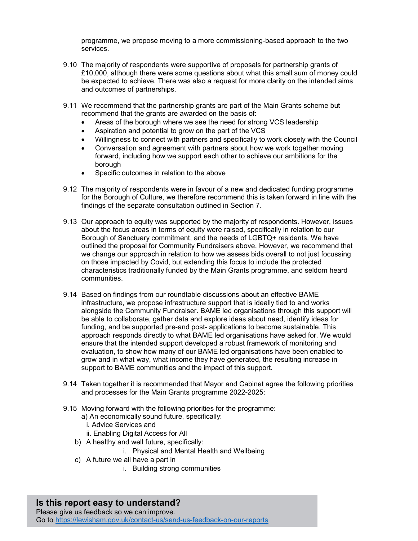programme, we propose moving to a more commissioning-based approach to the two services.

- 9.10 The majority of respondents were supportive of proposals for partnership grants of £10,000, although there were some questions about what this small sum of money could be expected to achieve. There was also a request for more clarity on the intended aims and outcomes of partnerships.
- 9.11 We recommend that the partnership grants are part of the Main Grants scheme but recommend that the grants are awarded on the basis of:
	- Areas of the borough where we see the need for strong VCS leadership
	- Aspiration and potential to grow on the part of the VCS
	- Willingness to connect with partners and specifically to work closely with the Council
	- Conversation and agreement with partners about how we work together moving forward, including how we support each other to achieve our ambitions for the borough
	- Specific outcomes in relation to the above
- 9.12 The majority of respondents were in favour of a new and dedicated funding programme for the Borough of Culture, we therefore recommend this is taken forward in line with the findings of the separate consultation outlined in Section 7.
- 9.13 Our approach to equity was supported by the majority of respondents. However, issues about the focus areas in terms of equity were raised, specifically in relation to our Borough of Sanctuary commitment, and the needs of LGBTQ+ residents. We have outlined the proposal for Community Fundraisers above. However, we recommend that we change our approach in relation to how we assess bids overall to not just focussing on those impacted by Covid, but extending this focus to include the protected characteristics traditionally funded by the Main Grants programme, and seldom heard communities.
- 9.14 Based on findings from our roundtable discussions about an effective BAME infrastructure, we propose infrastructure support that is ideally tied to and works alongside the Community Fundraiser. BAME led organisations through this support will be able to collaborate, gather data and explore ideas about need, identify ideas for funding, and be supported pre-and post- applications to become sustainable. This approach responds directly to what BAME led organisations have asked for. We would ensure that the intended support developed a robust framework of monitoring and evaluation, to show how many of our BAME led organisations have been enabled to grow and in what way, what income they have generated, the resulting increase in support to BAME communities and the impact of this support.
- 9.14 Taken together it is recommended that Mayor and Cabinet agree the following priorities and processes for the Main Grants programme 2022-2025:
- 9.15 Moving forward with the following priorities for the programme:
	- a) An economically sound future, specifically:
	- i. Advice Services and
	- ii. Enabling Digital Access for All
	- b) A healthy and well future, specifically:
		- i. Physical and Mental Health and Wellbeing
	- c) A future we all have a part in
		- i. Building strong communities

## Is this report easy to understand?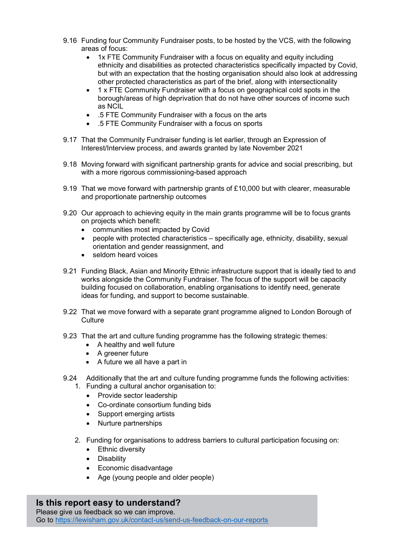- 9.16 Funding four Community Fundraiser posts, to be hosted by the VCS, with the following areas of focus:
	- 1x FTE Community Fundraiser with a focus on equality and equity including ethnicity and disabilities as protected characteristics specifically impacted by Covid, but with an expectation that the hosting organisation should also look at addressing other protected characteristics as part of the brief, along with intersectionality
	- 1 x FTE Community Fundraiser with a focus on geographical cold spots in the borough/areas of high deprivation that do not have other sources of income such as NCIL
	- .5 FTE Community Fundraiser with a focus on the arts
	- .5 FTE Community Fundraiser with a focus on sports
- 9.17 That the Community Fundraiser funding is let earlier, through an Expression of Interest/Interview process, and awards granted by late November 2021
- 9.18 Moving forward with significant partnership grants for advice and social prescribing, but with a more rigorous commissioning-based approach
- 9.19 That we move forward with partnership grants of £10,000 but with clearer, measurable and proportionate partnership outcomes
- 9.20 Our approach to achieving equity in the main grants programme will be to focus grants on projects which benefit:
	- communities most impacted by Covid
	- people with protected characteristics specifically age, ethnicity, disability, sexual orientation and gender reassignment, and
	- seldom heard voices
- 9.21 Funding Black, Asian and Minority Ethnic infrastructure support that is ideally tied to and works alongside the Community Fundraiser. The focus of the support will be capacity building focused on collaboration, enabling organisations to identify need, generate ideas for funding, and support to become sustainable.
- 9.22 That we move forward with a separate grant programme aligned to London Borough of **Culture**
- 9.23 That the art and culture funding programme has the following strategic themes:
	- A healthy and well future
	- A greener future
	- A future we all have a part in
- 9.24 Additionally that the art and culture funding programme funds the following activities: 1. Funding a cultural anchor organisation to:
	- Provide sector leadership
	- Co-ordinate consortium funding bids
	- Support emerging artists
	- Nurture partnerships
	- 2. Funding for organisations to address barriers to cultural participation focusing on:
		- Ethnic diversity
		- **•** Disability
		- Economic disadvantage
		- Age (young people and older people)

### Is this report easy to understand?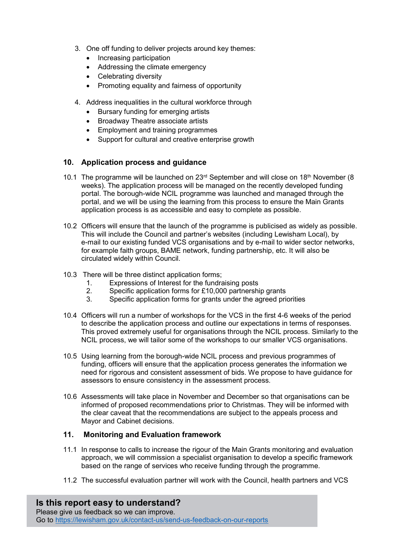- 3. One off funding to deliver projects around key themes:
	- Increasing participation
	- Addressing the climate emergency
	- Celebrating diversity
	- Promoting equality and fairness of opportunity
- 4. Address inequalities in the cultural workforce through
	- Bursary funding for emerging artists
	- Broadway Theatre associate artists
	- Employment and training programmes
	- Support for cultural and creative enterprise growth

### 10. Application process and guidance

- 10.1 The programme will be launched on  $23<sup>rd</sup>$  September and will close on 18<sup>th</sup> November (8) weeks). The application process will be managed on the recently developed funding portal. The borough-wide NCIL programme was launched and managed through the portal, and we will be using the learning from this process to ensure the Main Grants application process is as accessible and easy to complete as possible.
- 10.2 Officers will ensure that the launch of the programme is publicised as widely as possible. This will include the Council and partner's websites (including Lewisham Local), by e-mail to our existing funded VCS organisations and by e-mail to wider sector networks, for example faith groups, BAME network, funding partnership, etc. It will also be circulated widely within Council.
- 10.3 There will be three distinct application forms;
	- 1. Expressions of Interest for the fundraising posts
	- 2. Specific application forms for £10,000 partnership grants
	- 3. Specific application forms for grants under the agreed priorities
- 10.4 Officers will run a number of workshops for the VCS in the first 4-6 weeks of the period to describe the application process and outline our expectations in terms of responses. This proved extremely useful for organisations through the NCIL process. Similarly to the NCIL process, we will tailor some of the workshops to our smaller VCS organisations.
- 10.5 Using learning from the borough-wide NCIL process and previous programmes of funding, officers will ensure that the application process generates the information we need for rigorous and consistent assessment of bids. We propose to have guidance for assessors to ensure consistency in the assessment process.
- 10.6 Assessments will take place in November and December so that organisations can be informed of proposed recommendations prior to Christmas. They will be informed with the clear caveat that the recommendations are subject to the appeals process and Mayor and Cabinet decisions.

#### 11. Monitoring and Evaluation framework

- 11.1 In response to calls to increase the rigour of the Main Grants monitoring and evaluation approach, we will commission a specialist organisation to develop a specific framework based on the range of services who receive funding through the programme.
- 11.2 The successful evaluation partner will work with the Council, health partners and VCS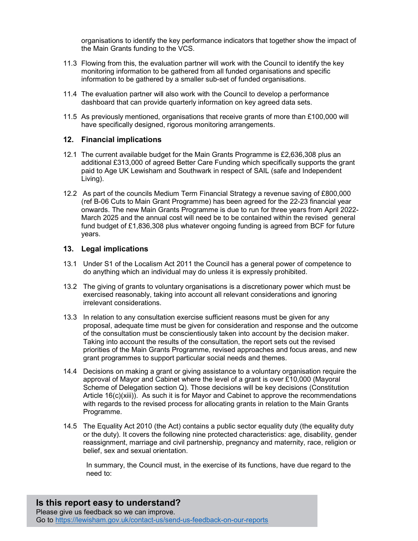organisations to identify the key performance indicators that together show the impact of the Main Grants funding to the VCS.

- 11.3 Flowing from this, the evaluation partner will work with the Council to identify the key monitoring information to be gathered from all funded organisations and specific information to be gathered by a smaller sub-set of funded organisations.
- 11.4 The evaluation partner will also work with the Council to develop a performance dashboard that can provide quarterly information on key agreed data sets.
- 11.5 As previously mentioned, organisations that receive grants of more than £100,000 will have specifically designed, rigorous monitoring arrangements.

#### 12. Financial implications

- 12.1 The current available budget for the Main Grants Programme is £2,636,308 plus an additional £313,000 of agreed Better Care Funding which specifically supports the grant paid to Age UK Lewisham and Southwark in respect of SAIL (safe and Independent Living).
- 12.2 As part of the councils Medium Term Financial Strategy a revenue saving of £800,000 (ref B-06 Cuts to Main Grant Programme) has been agreed for the 22-23 financial year onwards. The new Main Grants Programme is due to run for three years from April 2022- March 2025 and the annual cost will need be to be contained within the revised general fund budget of £1,836,308 plus whatever ongoing funding is agreed from BCF for future years.

#### 13. Legal implications

- 13.1 Under S1 of the Localism Act 2011 the Council has a general power of competence to do anything which an individual may do unless it is expressly prohibited.
- 13.2 The giving of grants to voluntary organisations is a discretionary power which must be exercised reasonably, taking into account all relevant considerations and ignoring irrelevant considerations.
- 13.3 In relation to any consultation exercise sufficient reasons must be given for any proposal, adequate time must be given for consideration and response and the outcome of the consultation must be conscientiously taken into account by the decision maker. Taking into account the results of the consultation, the report sets out the revised priorities of the Main Grants Programme, revised approaches and focus areas, and new grant programmes to support particular social needs and themes.
- 14.4 Decisions on making a grant or giving assistance to a voluntary organisation require the approval of Mayor and Cabinet where the level of a grant is over £10,000 (Mayoral Scheme of Delegation section Q). Those decisions will be key decisions (Constitution Article 16(c)(xiii)). As such it is for Mayor and Cabinet to approve the recommendations with regards to the revised process for allocating grants in relation to the Main Grants Programme.
- 14.5 The Equality Act 2010 (the Act) contains a public sector equality duty (the equality duty or the duty). It covers the following nine protected characteristics: age, disability, gender reassignment, marriage and civil partnership, pregnancy and maternity, race, religion or belief, sex and sexual orientation.

 In summary, the Council must, in the exercise of its functions, have due regard to the need to:

Is this report easy to understand? Please give us feedback so we can improve. Go to https://lewisham.gov.uk/contact-us/send-us-feedback-on-our-reports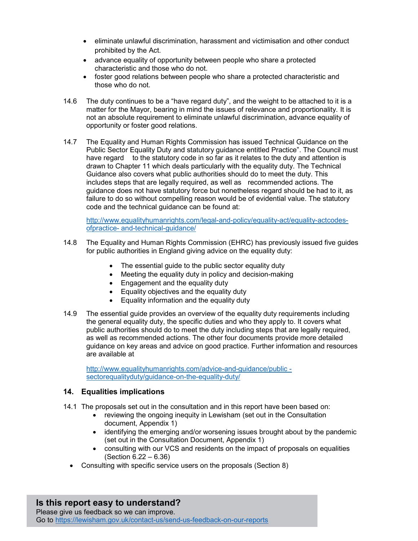- eliminate unlawful discrimination, harassment and victimisation and other conduct prohibited by the Act.
- advance equality of opportunity between people who share a protected characteristic and those who do not.
- foster good relations between people who share a protected characteristic and those who do not.
- 14.6 The duty continues to be a "have regard duty", and the weight to be attached to it is a matter for the Mayor, bearing in mind the issues of relevance and proportionality. It is not an absolute requirement to eliminate unlawful discrimination, advance equality of opportunity or foster good relations.
- 14.7 The Equality and Human Rights Commission has issued Technical Guidance on the Public Sector Equality Duty and statutory guidance entitled Practice". The Council must have regard to the statutory code in so far as it relates to the duty and attention is drawn to Chapter 11 which deals particularly with the equality duty. The Technical Guidance also covers what public authorities should do to meet the duty. This includes steps that are legally required, as well as recommended actions. The guidance does not have statutory force but nonetheless regard should be had to it, as failure to do so without compelling reason would be of evidential value. The statutory code and the technical guidance can be found at:

http://www.equalityhumanrights.com/legal-and-policy/equality-act/equality-actcodesofpractice- and-technical-guidance/

- 14.8 The Equality and Human Rights Commission (EHRC) has previously issued five guides for public authorities in England giving advice on the equality duty:
	- The essential guide to the public sector equality duty
	- Meeting the equality duty in policy and decision-making
	- Engagement and the equality duty
	- Equality objectives and the equality duty
	- Equality information and the equality duty
- 14.9 The essential guide provides an overview of the equality duty requirements including the general equality duty, the specific duties and who they apply to. It covers what public authorities should do to meet the duty including steps that are legally required, as well as recommended actions. The other four documents provide more detailed guidance on key areas and advice on good practice. Further information and resources are available at

http://www.equalityhumanrights.com/advice-and-guidance/public sectorequalityduty/quidance-on-the-equality-duty/

### 14. Equalities implications

- 14.1 The proposals set out in the consultation and in this report have been based on:
	- reviewing the ongoing inequity in Lewisham (set out in the Consultation document, Appendix 1)
	- identifying the emerging and/or worsening issues brought about by the pandemic (set out in the Consultation Document, Appendix 1)
	- consulting with our VCS and residents on the impact of proposals on equalities (Section 6.22 – 6.36)
	- Consulting with specific service users on the proposals (Section 8)

#### Is this report easy to understand? Please give us feedback so we can improve. Go to https://lewisham.gov.uk/contact-us/send-us-feedback-on-our-reports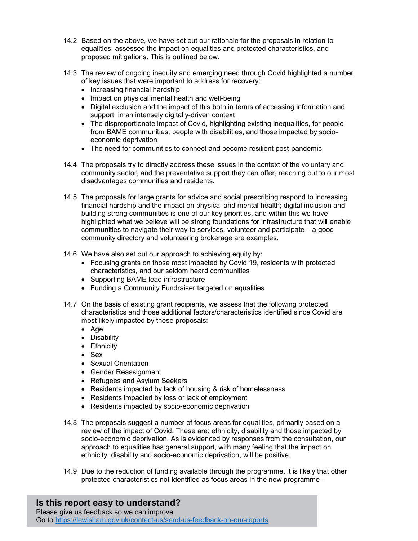- 14.2 Based on the above, we have set out our rationale for the proposals in relation to equalities, assessed the impact on equalities and protected characteristics, and proposed mitigations. This is outlined below.
- 14.3 The review of ongoing inequity and emerging need through Covid highlighted a number of key issues that were important to address for recovery:
	- Increasing financial hardship
	- Impact on physical mental health and well-being
	- Digital exclusion and the impact of this both in terms of accessing information and support, in an intensely digitally-driven context
	- The disproportionate impact of Covid, highlighting existing inequalities, for people from BAME communities, people with disabilities, and those impacted by socioeconomic deprivation
	- The need for communities to connect and become resilient post-pandemic
- 14.4 The proposals try to directly address these issues in the context of the voluntary and community sector, and the preventative support they can offer, reaching out to our most disadvantages communities and residents.
- 14.5 The proposals for large grants for advice and social prescribing respond to increasing financial hardship and the impact on physical and mental health; digital inclusion and building strong communities is one of our key priorities, and within this we have highlighted what we believe will be strong foundations for infrastructure that will enable communities to navigate their way to services, volunteer and participate – a good community directory and volunteering brokerage are examples.
- 14.6 We have also set out our approach to achieving equity by:
	- Focusing grants on those most impacted by Covid 19, residents with protected characteristics, and our seldom heard communities
	- Supporting BAME lead infrastructure
	- Funding a Community Fundraiser targeted on equalities
- 14.7 On the basis of existing grant recipients, we assess that the following protected characteristics and those additional factors/characteristics identified since Covid are most likely impacted by these proposals:
	- Age
	- Disability
	- Ethnicity
	- Sex
	- Sexual Orientation
	- Gender Reassignment
	- Refugees and Asylum Seekers
	- Residents impacted by lack of housing & risk of homelessness
	- Residents impacted by loss or lack of employment
	- Residents impacted by socio-economic deprivation
- 14.8 The proposals suggest a number of focus areas for equalities, primarily based on a review of the impact of Covid. These are: ethnicity, disability and those impacted by socio-economic deprivation. As is evidenced by responses from the consultation, our approach to equalities has general support, with many feeling that the impact on ethnicity, disability and socio-economic deprivation, will be positive.
- 14.9 Due to the reduction of funding available through the programme, it is likely that other protected characteristics not identified as focus areas in the new programme –

# Is this report easy to understand?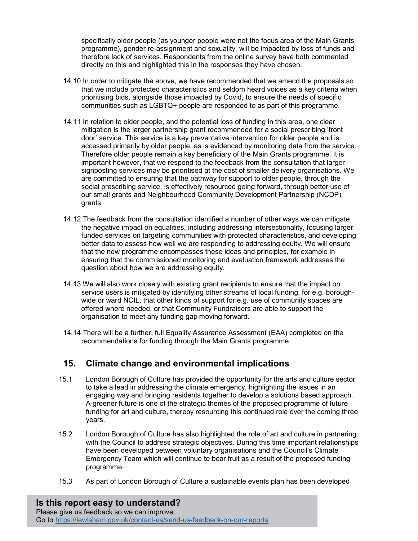specifically older people (as younger people were not the focus area of the Main Grants programme), gender re-assignment and sexuality, will be impacted by loss of funds and therefore lack of services. Respondents from the online survey have both commented directly on this and highlighted this in the responses they have chosen.

- 14.10 In order to mitigate the above, we have recommended that we amend the proposals so that we include protected characteristics and seldom heard voices as a key criteria when prioritising bids, alongside those impacted by Covid, to ensure the needs of specific communities such as LGBTQ+ people are responded to as part of this programme.
- 14.11 In relation to older people, and the potential loss of funding in this area, one clear mitigation is the larger partnership grant recommended for a social prescribing 'front door' service. This service is a key preventative intervention for older people and is accessed primarily by older people, as is evidenced by monitoring data from the service. Therefore older people remain a key beneficiary of the Main Grants programme. It is important however, that we respond to the feedback from the consultation that larger signposting services may be prioritised at the cost of smaller delivery organisations. We are committed to ensuring that the pathway for support to older people, through the social prescribing service, is effectively resourced going forward, through better use of our small grants and Neighbourhood Community Development Partnership (NCDP) grants.
- 14.12 The feedback from the consultation identified a number of other ways we can mitigate the negative impact on equalities, including addressing intersectionality, focusing larger funded services on targeting communities with protected characteristics, and developing better data to assess how well we are responding to addressing equity. We will ensure that the new programme encompasses these ideas and principles, for example in ensuring that the commissioned monitoring and evaluation framework addresses the question about how we are addressing equity.
- 14.13 We will also work closely with existing grant recipients to ensure that the impact on service users is mitigated by identifying other streams of local funding, for e.g. boroughwide or ward NCIL, that other kinds of support for e.g. use of community spaces are offered where needed, or that Community Fundraisers are able to support the organisation to meet any funding gap moving forward.
- 14.14 There will be a further, full Equality Assurance Assessment (EAA) completed on the recommendations for funding through the Main Grants programme

# 15. Climate change and environmental implications

- 15.1 London Borough of Culture has provided the opportunity for the arts and culture sector to take a lead in addressing the climate emergency, highlighting the issues in an engaging way and bringing residents together to develop a solutions based approach. A greener future is one of the strategic themes of the proposed programme of future funding for art and culture, thereby resourcing this continued role over the coming three years.
- 15.2 London Borough of Culture has also highlighted the role of art and culture in partnering with the Council to address strategic objectives. During this time important relationships have been developed between voluntary organisations and the Council's Climate Emergency Team which will continue to bear fruit as a result of the proposed funding programme.
- 15.3 As part of London Borough of Culture a sustainable events plan has been developed

Is this report easy to understand? Please give us feedback so we can improve. Go to https://lewisham.gov.uk/contact-us/send-us-feedback-on-our-reports